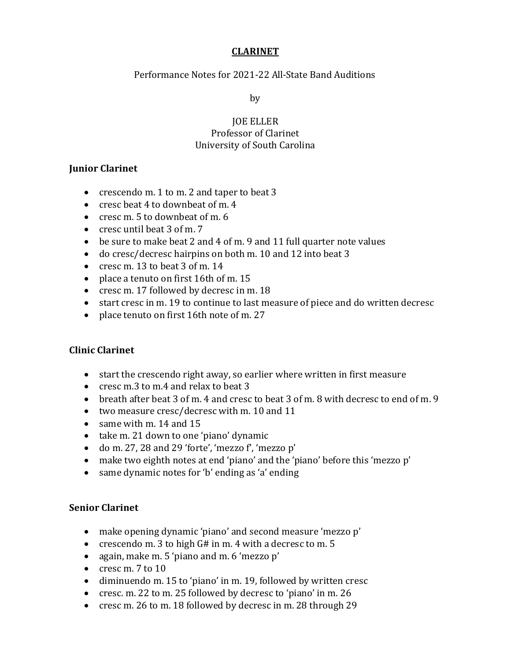## **CLARINET**

Performance Notes for 2021-22 All-State Band Auditions

by

## **JOE ELLER** Professor of Clarinet University of South Carolina

## **Junior Clarinet**

- crescendo m. 1 to m. 2 and taper to beat 3
- cresc beat 4 to downbeat of m. 4
- cresc m. 5 to downbeat of m. 6
- cresc until beat 3 of m. 7
- be sure to make beat 2 and 4 of m. 9 and 11 full quarter note values
- do cresc/decresc hairpins on both m. 10 and 12 into beat 3
- cresc m. 13 to beat  $3$  of m. 14
- place a tenuto on first 16th of m. 15
- cresc m. 17 followed by decresc in m. 18
- start cresc in m. 19 to continue to last measure of piece and do written decresc
- place tenuto on first 16th note of m. 27

# **Clinic Clarinet**

- start the crescendo right away, so earlier where written in first measure
- cresc m.3 to m.4 and relax to beat 3
- breath after beat 3 of m. 4 and cresc to beat 3 of m. 8 with decresc to end of m. 9
- two measure cresc/decresc with m. 10 and 11
- same with m.  $14$  and  $15$
- take m. 21 down to one 'piano' dynamic
- do m. 27, 28 and 29 'forte', 'mezzo f', 'mezzo p'
- make two eighth notes at end 'piano' and the 'piano' before this 'mezzo p'
- same dynamic notes for 'b' ending as 'a' ending

# **Senior Clarinet**

- make opening dynamic 'piano' and second measure 'mezzo p'
- crescendo m. 3 to high  $G#$  in m. 4 with a decresc to m. 5
- again, make m. 5 'piano and m. 6 'mezzo p'
- cresc m. 7 to 10
- diminuendo m. 15 to 'piano' in m. 19, followed by written cresc
- cresc. m. 22 to m. 25 followed by decresc to 'piano' in m. 26
- cresc m. 26 to m. 18 followed by decresc in m. 28 through 29